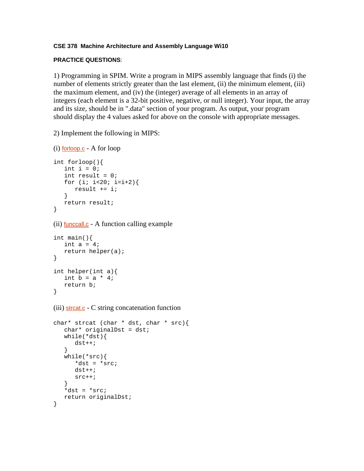## **CSE 378 Machine Architecture and Assembly Language Wi10**

## **PRACTICE QUESTIONS**:

1) Programming in SPIM. Write a program in MIPS assembly language that finds (i) the number of elements strictly greater than the last element, (ii) the minimum element, (iii) the maximum element, and (iv) the (integer) average of all elements in an array of integers (each element is a 32-bit positive, negative, or null integer). Your input, the array and its size, should be in ".data" section of your program. As output, your program should display the 4 values asked for above on the console with appropriate messages.

2) Implement the following in MIPS:

```
(i) forloop.c - A for loop
int forloop(){ 
  int i = 0;
   int result = 0;
   for (i : i < 20; i = i + 2) result += i; 
    } 
    return result; 
}
```
(ii) funccall.c - A function calling example

```
int main(){ 
  int a = 4;
    return helper(a); 
} 
int helper(int a){ 
   int b = a * 4;
    return b; 
}
```
 $(iii)$  strcat.c - C string concatenation function

```
char* strcat (char * dst, char * src){ 
    char* originalDst = dst; 
    while(*dst){ 
       dst++; 
    } 
    while(*src){ 
       *dst = *src; 
       dst++; 
       src++; 
 } 
   *dist = *src; return originalDst; 
}
```